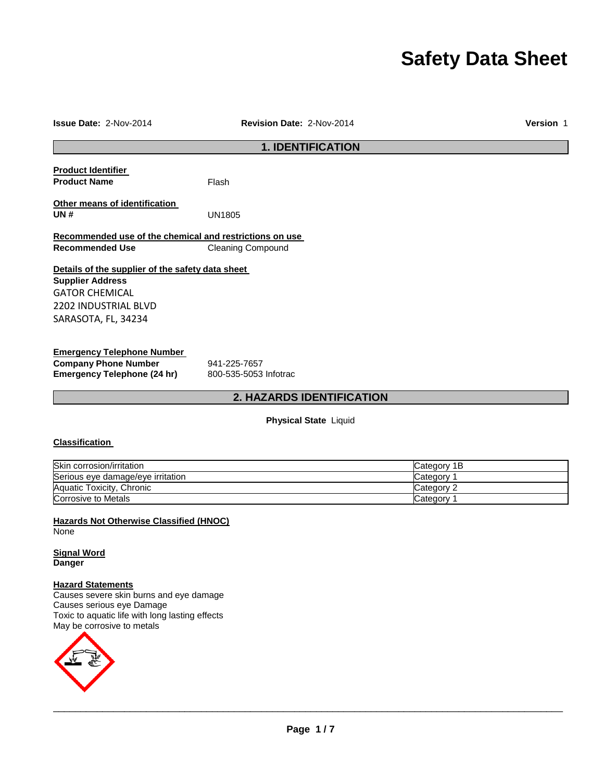# **Safety Data Sheet**

| Issue Date: 2-Nov-2014                                  | Revision Date: 2-Nov-2014 | Version 1 |
|---------------------------------------------------------|---------------------------|-----------|
|                                                         | <b>1. IDENTIFICATION</b>  |           |
| <b>Product Identifier</b>                               |                           |           |
| <b>Product Name</b>                                     | Flash                     |           |
| Other means of identification                           |                           |           |
| UN#                                                     | <b>UN1805</b>             |           |
| Recommended use of the chemical and restrictions on use |                           |           |
| <b>Recommended Use</b>                                  | <b>Cleaning Compound</b>  |           |
| Details of the supplier of the safety data sheet        |                           |           |
| <b>Supplier Address</b>                                 |                           |           |
| GATOR CHEMICAL                                          |                           |           |
| 2202 INDUSTRIAL BLVD                                    |                           |           |
| SARASOTA, FL, 34234                                     |                           |           |
| <b>Emergency Telephone Number</b>                       |                           |           |
| <b>Company Phone Number</b>                             | 941-225-7657              |           |
| Emergency Telephone (24 hr)                             | 800-535-5053 Infotrac     |           |

# **2. HAZARDS IDENTIFICATION**

### **Physical State** Liquid

# **Classification**

| Skin corrosion/irritation         | Category 1B |
|-----------------------------------|-------------|
| Serious eye damage/eye irritation | Category    |
| Aquatic Toxicity, Chronic         | Category 2  |
| Corrosive to Metals               | Category    |

**Hazards Not Otherwise Classified (HNOC) None** 

**Signal Word Danger**

#### **Hazard Statements**

Causes severe skin burns and eye damage Causes serious eye Damage Toxic to aquatic life with long lasting effects May be corrosive to metals

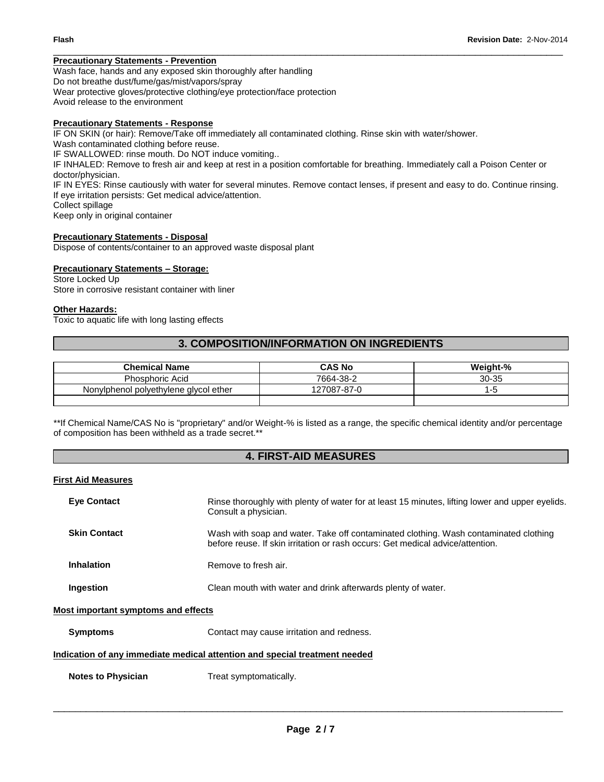#### **Precautionary Statements - Prevention**

Wash face, hands and any exposed skin thoroughly after handling Do not breathe dust/fume/gas/mist/vapors/spray Wear protective gloves/protective clothing/eye protection/face protection Avoid release to the environment

#### **Precautionary Statements - Response**

IF ON SKIN (or hair): Remove/Take off immediately all contaminated clothing. Rinse skin with water/shower. Wash contaminated clothing before reuse. IF SWALLOWED: rinse mouth. Do NOT induce vomiting.. IF INHALED: Remove to fresh air and keep at rest in a position comfortable for breathing. Immediately call a Poison Center or doctor/physician. IF IN EYES: Rinse cautiously with water for several minutes. Remove contact lenses, if present and easy to do. Continue rinsing. If eye irritation persists: Get medical advice/attention. Collect spillage Keep only in original container

\_\_\_\_\_\_\_\_\_\_\_\_\_\_\_\_\_\_\_\_\_\_\_\_\_\_\_\_\_\_\_\_\_\_\_\_\_\_\_\_\_\_\_\_\_\_\_\_\_\_\_\_\_\_\_\_\_\_\_\_\_\_\_\_\_\_\_\_\_\_\_\_\_\_\_\_\_\_\_\_\_\_\_\_\_\_\_\_\_\_\_\_\_

#### **Precautionary Statements - Disposal**

Dispose of contents/container to an approved waste disposal plant

### **Precautionary Statements – Storage:**

Store Locked Up Store in corrosive resistant container with liner

#### **Other Hazards:**

Toxic to aquatic life with long lasting effects

### **3. COMPOSITION/INFORMATION ON INGREDIENTS**

| <b>Chemical Name</b>                  | <b>CAS No</b> | Weight-% |
|---------------------------------------|---------------|----------|
| <b>Phosphoric Acid</b>                | 7664-38-2     | 30-35    |
| Nonylphenol polyethylene glycol ether | 127087-87-0   |          |
|                                       |               |          |

\*\*If Chemical Name/CAS No is "proprietary" and/or Weight-% is listed as a range, the specific chemical identity and/or percentage of composition has been withheld as a trade secret.\*\*

### **4. FIRST-AID MEASURES**

#### **First Aid Measures**

| <b>Eye Contact</b>  | Rinse thoroughly with plenty of water for at least 15 minutes, lifting lower and upper eyelids.<br>Consult a physician.                                                |
|---------------------|------------------------------------------------------------------------------------------------------------------------------------------------------------------------|
| <b>Skin Contact</b> | Wash with soap and water. Take off contaminated clothing. Wash contaminated clothing<br>before reuse. If skin irritation or rash occurs: Get medical advice/attention. |
| <b>Inhalation</b>   | Remove to fresh air.                                                                                                                                                   |
| Ingestion           | Clean mouth with water and drink afterwards plenty of water.                                                                                                           |

#### **Most important symptoms and effects**

**Symptoms Contact may cause irritation and redness.** 

### **Indication of any immediate medical attention and special treatment needed**

**Notes to Physician Treat symptomatically.**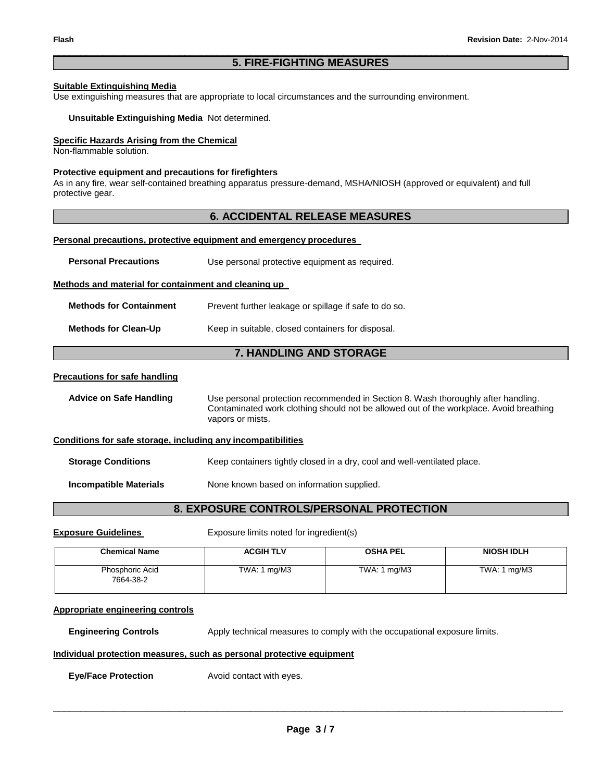#### \_\_\_\_\_\_\_\_\_\_\_\_\_\_\_\_\_\_\_\_\_\_\_\_\_\_\_\_\_\_\_\_\_\_\_\_\_\_\_\_\_\_\_\_\_\_\_\_\_\_\_\_\_\_\_\_\_\_\_\_\_\_\_\_\_\_\_\_\_\_\_\_\_\_\_\_\_\_\_\_\_\_\_\_\_\_\_\_\_\_\_\_\_ **5. FIRE-FIGHTING MEASURES**

# **Suitable Extinguishing Media**

Use extinguishing measures that are appropriate to local circumstances and the surrounding environment.

**Unsuitable Extinguishing Media** Not determined.

#### **Specific Hazards Arising from the Chemical**

Non-flammable solution.

#### **Protective equipment and precautions for firefighters**

As in any fire, wear self-contained breathing apparatus pressure-demand, MSHA/NIOSH (approved or equivalent) and full protective gear.

### **6. ACCIDENTAL RELEASE MEASURES**

#### **Personal precautions, protective equipment and emergency procedures**

| <b>Personal Precautions</b>                                  | Use personal protective equipment as required.                                                                                                                                                  |  |  |
|--------------------------------------------------------------|-------------------------------------------------------------------------------------------------------------------------------------------------------------------------------------------------|--|--|
| Methods and material for containment and cleaning up         |                                                                                                                                                                                                 |  |  |
| <b>Methods for Containment</b>                               | Prevent further leakage or spillage if safe to do so.                                                                                                                                           |  |  |
| <b>Methods for Clean-Up</b>                                  | Keep in suitable, closed containers for disposal.                                                                                                                                               |  |  |
|                                                              | 7. HANDLING AND STORAGE                                                                                                                                                                         |  |  |
| <u>Precautions for safe handling</u>                         |                                                                                                                                                                                                 |  |  |
| <b>Advice on Safe Handling</b>                               | Use personal protection recommended in Section 8. Wash thoroughly after handling.<br>Contaminated work clothing should not be allowed out of the workplace. Avoid breathing<br>vapors or mists. |  |  |
| Conditions for safe storage, including any incompatibilities |                                                                                                                                                                                                 |  |  |
| <b>Storage Conditions</b>                                    | Keep containers tightly closed in a dry, cool and well-ventilated place.                                                                                                                        |  |  |
| <b>Incompatible Materials</b>                                | None known based on information supplied.                                                                                                                                                       |  |  |
|                                                              |                                                                                                                                                                                                 |  |  |

# **8. EXPOSURE CONTROLS/PERSONAL PROTECTION**

**Exposure Guidelines Exposure limits noted for ingredient(s)** 

| <b>Chemical Name</b>         | <b>ACGIH TLV</b>              | <b>OSHA PEL</b>               | <b>NIOSH IDLH</b>      |
|------------------------------|-------------------------------|-------------------------------|------------------------|
| Phosphoric Acid<br>7664-38-2 | TWA: $1 \text{ mg}/\text{M}3$ | TWA: $1 \text{ mg}/\text{M}3$ | TWA: $1 \text{ mg}/M3$ |

#### **Appropriate engineering controls**

**Engineering Controls Apply technical measures to comply with the occupational exposure limits.** 

#### **Individual protection measures, such as personal protective equipment**

**Eye/Face Protection** Avoid contact with eyes.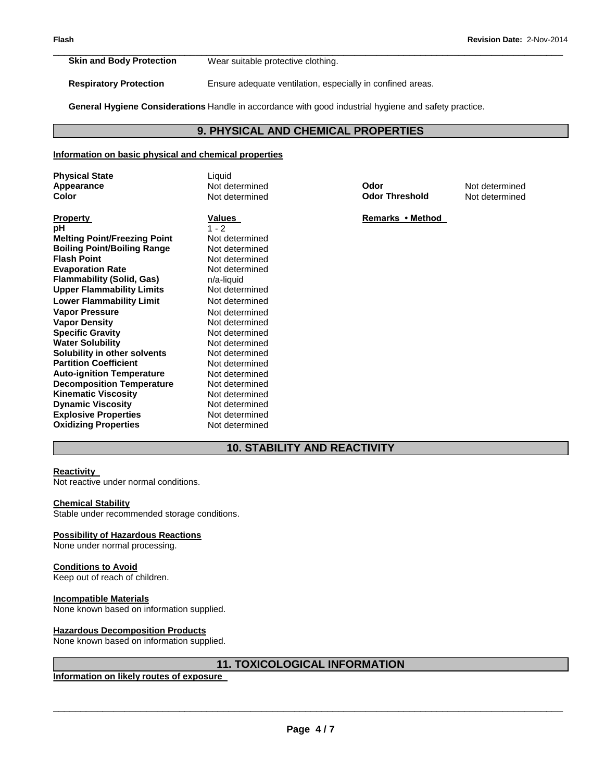**Skin and Body Protection** Wear suitable protective clothing.

**Respiratory Protection** Ensure adequate ventilation, especially in confined areas.

**General Hygiene Considerations** Handle in accordance with good industrial hygiene and safety practice.

# **9. PHYSICAL AND CHEMICAL PROPERTIES**

\_\_\_\_\_\_\_\_\_\_\_\_\_\_\_\_\_\_\_\_\_\_\_\_\_\_\_\_\_\_\_\_\_\_\_\_\_\_\_\_\_\_\_\_\_\_\_\_\_\_\_\_\_\_\_\_\_\_\_\_\_\_\_\_\_\_\_\_\_\_\_\_\_\_\_\_\_\_\_\_\_\_\_\_\_\_\_\_\_\_\_\_\_

#### **Information on basic physical and chemical properties**

| <b>Physical State</b><br>Appearance<br>Color | Liquid<br>Not determined<br>Not determined | Odor<br><b>Odor Threshold</b> | Not determined<br>Not determined |
|----------------------------------------------|--------------------------------------------|-------------------------------|----------------------------------|
| <b>Property</b>                              | <b>Values</b>                              | Remarks • Method              |                                  |
| рH                                           | $1 - 2$                                    |                               |                                  |
| <b>Melting Point/Freezing Point</b>          | Not determined                             |                               |                                  |
| <b>Boiling Point/Boiling Range</b>           | Not determined                             |                               |                                  |
| <b>Flash Point</b>                           | Not determined                             |                               |                                  |
| <b>Evaporation Rate</b>                      | Not determined                             |                               |                                  |
| Flammability (Solid, Gas)                    | n/a-liquid                                 |                               |                                  |
| Upper Flammability Limits                    | Not determined                             |                               |                                  |
| Lower Flammability Limit                     | Not determined                             |                               |                                  |
| Vapor Pressure                               | Not determined                             |                               |                                  |
| Vapor Density                                | Not determined                             |                               |                                  |
| <b>Specific Gravity</b>                      | Not determined                             |                               |                                  |
| <b>Water Solubility</b>                      | Not determined                             |                               |                                  |
| Solubility in other solvents                 | Not determined                             |                               |                                  |
| <b>Partition Coefficient</b>                 | Not determined                             |                               |                                  |
| <b>Auto-ignition Temperature</b>             | Not determined                             |                               |                                  |
| <b>Decomposition Temperature</b>             | Not determined                             |                               |                                  |
| Kinematic Viscosity                          | Not determined                             |                               |                                  |
| <b>Dynamic Viscosity</b>                     | Not determined                             |                               |                                  |
| <b>Explosive Properties</b>                  | Not determined                             |                               |                                  |
| <b>Oxidizing Properties</b>                  | Not determined                             |                               |                                  |

# **10. STABILITY AND REACTIVITY**

#### **Reactivity**

Not reactive under normal conditions.

#### **Chemical Stability**

Stable under recommended storage conditions.

#### **Possibility of Hazardous Reactions**

None under normal processing.

#### **Conditions to Avoid**

Keep out of reach of children.

#### **Incompatible Materials**

None known based on information supplied.

#### **Hazardous Decomposition Products**

None known based on information supplied.

# **11. TOXICOLOGICAL INFORMATION**

**Information on likely routes of exposure**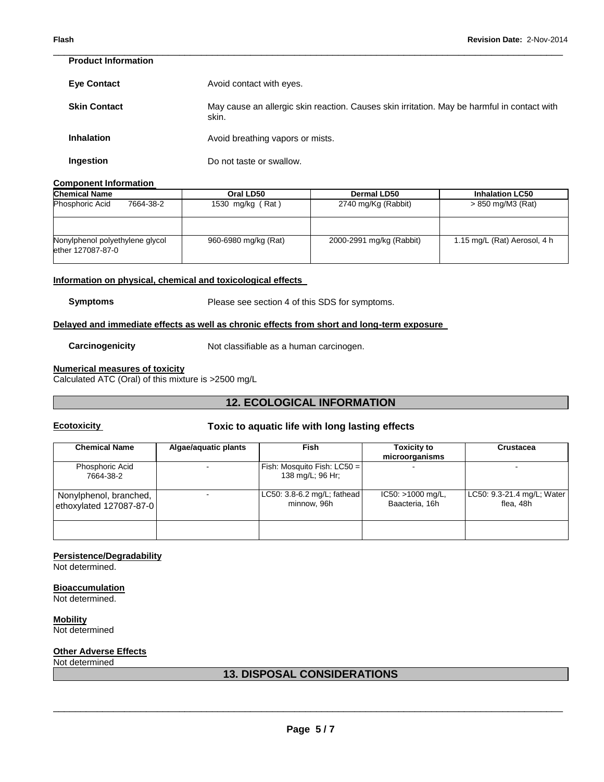| <b>Product Information</b> |                                                                                                      |
|----------------------------|------------------------------------------------------------------------------------------------------|
| <b>Eye Contact</b>         | Avoid contact with eyes.                                                                             |
| <b>Skin Contact</b>        | May cause an allergic skin reaction. Causes skin irritation. May be harmful in contact with<br>skin. |
| <b>Inhalation</b>          | Avoid breathing vapors or mists.                                                                     |
| Ingestion                  | Do not taste or swallow.                                                                             |

\_\_\_\_\_\_\_\_\_\_\_\_\_\_\_\_\_\_\_\_\_\_\_\_\_\_\_\_\_\_\_\_\_\_\_\_\_\_\_\_\_\_\_\_\_\_\_\_\_\_\_\_\_\_\_\_\_\_\_\_\_\_\_\_\_\_\_\_\_\_\_\_\_\_\_\_\_\_\_\_\_\_\_\_\_\_\_\_\_\_\_\_\_

#### **Component Information**

| <b>Chemical Name</b>                                 | Oral LD50            | <b>Dermal LD50</b>       | <b>Inhalation LC50</b>       |  |
|------------------------------------------------------|----------------------|--------------------------|------------------------------|--|
| <b>Phosphoric Acid</b><br>7664-38-2                  | 1530 mg/kg (Rat)     | 2740 mg/Kg (Rabbit)      | > 850 mg/M3 (Rat)            |  |
|                                                      |                      |                          |                              |  |
| Nonylphenol polyethylene glycol<br>ether 127087-87-0 | 960-6980 mg/kg (Rat) | 2000-2991 mg/kg (Rabbit) | 1.15 mg/L (Rat) Aerosol, 4 h |  |

#### **Information on physical, chemical and toxicological effects**

**Symptoms** Please see section 4 of this SDS for symptoms.

#### **Delayed and immediate effects as well as chronic effects from short and long-term exposure**

**Carcinogenicity Not classifiable as a human carcinogen.** 

#### **Numerical measures of toxicity**

Calculated ATC (Oral) of this mixture is >2500 mg/L

# **12. ECOLOGICAL INFORMATION**

# **Ecotoxicity Toxic to aquatic life with long lasting effects**

| <b>Chemical Name</b>                              | Algae/aquatic plants | <b>Fish</b>                                     | <b>Toxicity to</b><br>microorganisms  | <b>Crustacea</b>                        |
|---------------------------------------------------|----------------------|-------------------------------------------------|---------------------------------------|-----------------------------------------|
| Phosphoric Acid<br>7664-38-2                      |                      | Fish: Mosquito Fish: LC50 =<br>138 mg/L; 96 Hr; |                                       |                                         |
| Nonylphenol, branched,<br>ethoxylated 127087-87-0 |                      | LC50: 3.8-6.2 mg/L; fathead<br>minnow. 96h      | $IC50: >1000$ mg/L,<br>Baacteria, 16h | LC50: 9.3-21.4 mg/L; Water<br>flea. 48h |
|                                                   |                      |                                                 |                                       |                                         |

#### **Persistence/Degradability**

Not determined.

#### **Bioaccumulation**

Not determined.

# **Mobility**

Not determined

# **Other Adverse Effects**

#### Not determined

# **13. DISPOSAL CONSIDERATIONS**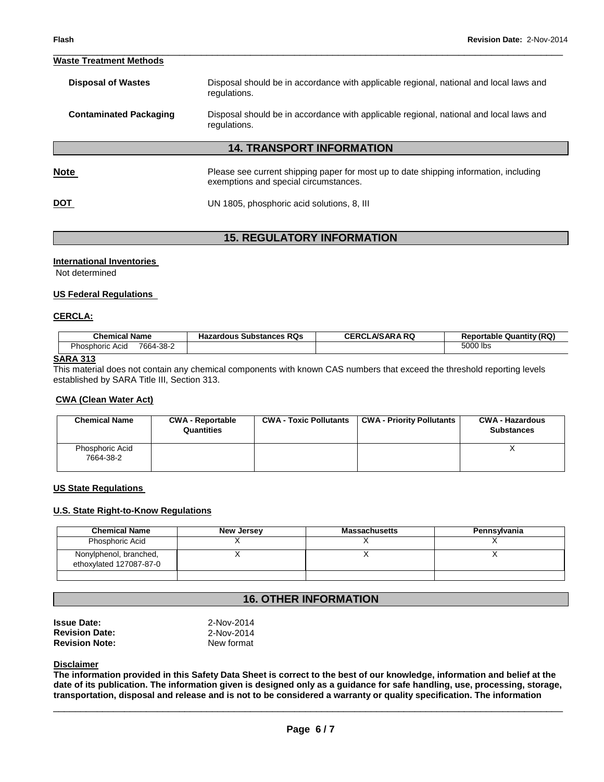#### \_\_\_\_\_\_\_\_\_\_\_\_\_\_\_\_\_\_\_\_\_\_\_\_\_\_\_\_\_\_\_\_\_\_\_\_\_\_\_\_\_\_\_\_\_\_\_\_\_\_\_\_\_\_\_\_\_\_\_\_\_\_\_\_\_\_\_\_\_\_\_\_\_\_\_\_\_\_\_\_\_\_\_\_\_\_\_\_\_\_\_\_\_ **Waste Treatment Methods**

| Disposal should be in accordance with applicable regional, national and local laws and<br>regulations.                         |
|--------------------------------------------------------------------------------------------------------------------------------|
| Disposal should be in accordance with applicable regional, national and local laws and<br>regulations.                         |
| <b>14. TRANSPORT INFORMATION</b>                                                                                               |
| Please see current shipping paper for most up to date shipping information, including<br>exemptions and special circumstances. |
| UN 1805, phosphoric acid solutions, 8, III                                                                                     |
|                                                                                                                                |

# **15. REGULATORY INFORMATION**

#### **International Inventories**

Not determined

#### **US Federal Regulations**

#### **CERCLA:**

| Chemical Name                       | : RQs<br><b>Hazardous Substances</b> | <b>CERCLA/SARA RQ</b> | <b>Reportable Quantity (RQ)</b> |
|-------------------------------------|--------------------------------------|-----------------------|---------------------------------|
| <b>Phosphoric Acid</b><br>7664-38-2 |                                      |                       | 5000 lbs                        |

#### **SARA 313**

This material does not contain any chemical components with known CAS numbers that exceed the threshold reporting levels established by SARA Title III, Section 313.

#### **CWA (Clean Water Act)**

| <b>Chemical Name</b>         | <b>CWA - Reportable</b><br>Quantities | <b>CWA - Toxic Pollutants</b> | <b>CWA - Priority Pollutants</b> | <b>CWA - Hazardous</b><br><b>Substances</b> |
|------------------------------|---------------------------------------|-------------------------------|----------------------------------|---------------------------------------------|
| Phosphoric Acid<br>7664-38-2 |                                       |                               |                                  |                                             |

#### **US State Regulations**

#### **U.S. State Right-to-Know Regulations**

| <b>Chemical Name</b>                              | New Jersey | <b>Massachusetts</b> | Pennsylvania |
|---------------------------------------------------|------------|----------------------|--------------|
| Phosphoric Acid                                   |            |                      |              |
| Nonylphenol, branched,<br>ethoxylated 127087-87-0 |            |                      |              |
|                                                   |            |                      |              |

# **16. OTHER INFORMATION**

| Issue Date:           | 2-Nov-2014 |  |
|-----------------------|------------|--|
| <b>Revision Date:</b> | 2-Nov-2014 |  |
| <b>Revision Note:</b> | New format |  |

#### **Disclaimer**

**The information provided in this Safety Data Sheet is correct to the best of our knowledge, information and belief at the date of its publication. The information given is designed only as a guidance for safe handling, use, processing, storage, transportation, disposal and release and is not to be considered a warranty or quality specification. The information**